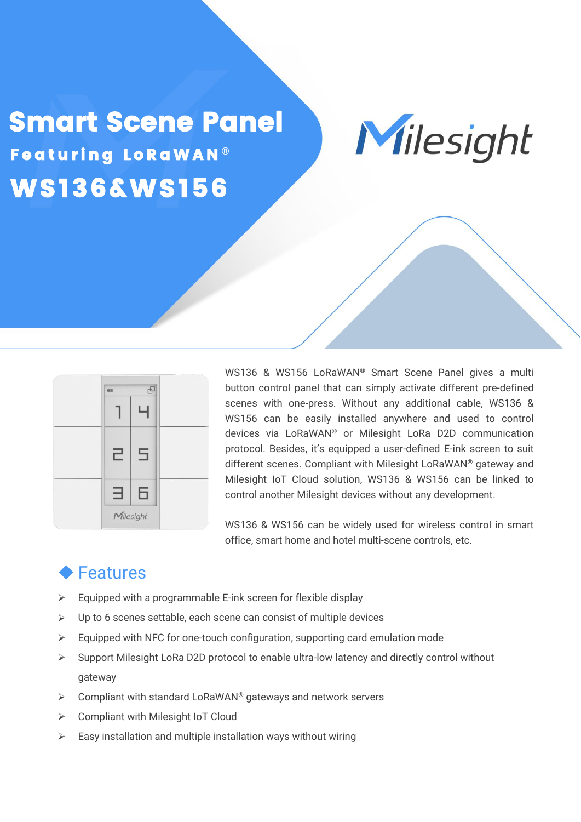## Smart Scene Panel Nilesight WS136&WS156 Featuring LoRaWAN®





WS136 & WS156 LoRaWAN® Smart Scene Panel gives a multi button control panel that can simply activate different pre-defined scenes with one-press. Without any additional cable, WS136 & WS156 can be easily installed anywhere and used to control devices via LoRaWAN® or Milesight LoRa D2D communication protocol. Besides, it's equipped a user-defined E-ink screen to suit different scenes. Compliant with Milesight LoRaWAN® gateway and Milesight IoT Cloud solution, WS136 & WS156 can be linked to control another Milesight devices without any development.

WS136 & WS156 can be widely used for wireless control in smart office, smart home and hotel multi-scene controls, etc.

## **◆ Features**

- $\triangleright$  Equipped with a programmable E-ink screen for flexible display
- $\triangleright$  Up to 6 scenes settable, each scene can consist of multiple devices
- $\triangleright$  Equipped with NFC for one-touch configuration, supporting card emulation mode
- $\triangleright$  Support Milesight LoRa D2D protocol to enable ultra-low latency and directly control without gateway
- $\triangleright$  Compliant with standard LoRaWAN<sup>®</sup> gateways and network servers
- **►** Compliant with Milesight IoT Cloud
- $\triangleright$  Easy installation and multiple installation ways without wiring